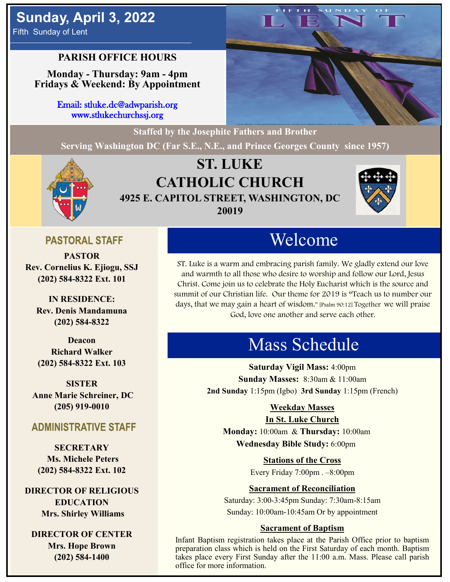# **Sunday, April 3, 2022**

Fifth Sunday of Lent

## **PARISH OFFICE HOURS**

**Monday - Thursday: 9am - 4pm Fridays & Weekend: By Appointment**

> Email: stluke.dc@adwparish.org www.stlukechurchssj.org

**Staffed by the Josephite Fathers and Brother**

**Serving Washington DC (Far S.E., N.E., and Prince Georges County since 1957)**



## **ST. LUKE CATHOLIC CHURCH 4925 E. CAPITOL STREET, WASHINGTON, DC 20019**



## **PASTORAL STAFF**

**PASTOR Rev. Cornelius K. Ejiogu, SSJ (202) 584-8322 Ext. 101**

**IN RESIDENCE: Rev. Denis Mandamuna (202) 584-8322** 

**Deacon Richard Walker (202) 584-8322 Ext. 103**

**SISTER Anne Marie Schreiner, DC (205) 919-0010**

## **ADMINISTRATIVE STAFF**

**SECRETARY Ms. Michele Peters (202) 584-8322 Ext. 102**

**DIRECTOR OF RELIGIOUS EDUCATION Mrs. Shirley Williams**

**DIRECTOR OF CENTER Mrs. Hope Brown (202) 584-1400**

# Welcome

ST. Luke is a warm and embracing parish family. We gladly extend our love and warmth to all those who desire to worship and follow our Lord, Jesus Christ. Come join us to celebrate the Holy Eucharist which is the source and summit of our Christian life. Our theme for 2019 is "Teach us to number our days, that we may gain a heart of wisdom." [Psalm 90:12] Together we will praise God, love one another and serve each other.

# Mass Schedule

**Saturday Vigil Mass:** 4:00pm **Sunday Masses:** 8:30am & 11:00am **2nd Sunday** 1:15pm (Igbo) **3rd Sunday** 1:15pm (French)

## **Weekday Masses**

#### **In St. Luke Church**

**Monday:** 10:00am & **Thursday:** 10:00am **Wednesday Bible Study:** 6:00pm

**Stations of the Cross**

Every Friday 7:00pm . –8:00pm

## **Sacrament of Reconciliation**

Saturday: 3:00-3:45pm Sunday: 7:30am-8:15am Sunday: 10:00am-10:45am Or by appointment

## **Sacrament of Baptism**

Infant Baptism registration takes place at the Parish Office prior to baptism preparation class which is held on the First Saturday of each month. Baptism takes place every First Sunday after the 11:00 a.m. Mass. Please call parish office for more information.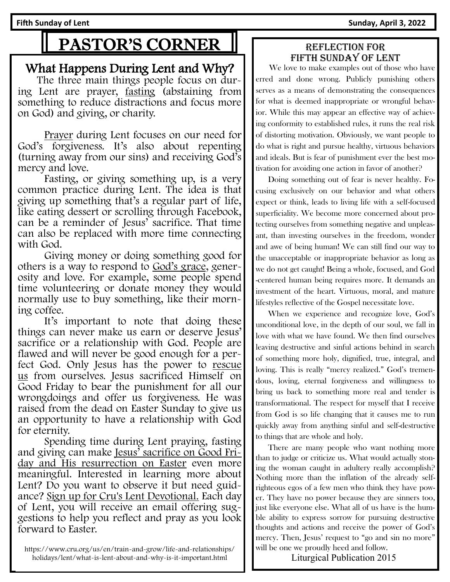**Fifth Sunday of Lent Sunday, April 3, 2022** 

# PASTOR'S CORNER

## What Happens During Lent and Why?

The three main things people focus on during Lent are prayer, fasting (abstaining from something to reduce distractions and focus more on God) and giving, or charity.

Prayer during Lent focuses on our need for God's forgiveness. It's also about repenting (turning away from our sins) and receiving God's mercy and love.

Fasting, or giving something up, is a very common practice during Lent. The idea is that giving up something that's a regular part of life, like eating dessert or scrolling through Facebook, can be a reminder of Jesus' sacrifice. That time can also be replaced with more time connecting with God.

Giving money or doing something good for others is a way to respond to God's grace, generosity and love. For example, some people spend time volunteering or donate money they would normally use to buy something, like their morning coffee.

It's important to note that doing these things can never make us earn or deserve Jesus' sacrifice or a relationship with God. People are flawed and will never be good enough for a perfect God. Only Jesus has the power to rescue us from ourselves. Jesus sacrificed Himself on Good Friday to bear the punishment for all our wrongdoings and offer us forgiveness. He was raised from the dead on Easter Sunday to give us an opportunity to have a relationship with God for eternity.

Spending time during Lent praying, fasting and giving can make Jesus' sacrifice on Good Friday and His resurrection on Easter even more meaningful. Interested in learning more about Lent? Do you want to observe it but need guidance? Sign up for Cru's Lent Devotional. Each day of Lent, you will receive an email offering suggestions to help you reflect and pray as you look forward to Easter.

https://www.cru.org/us/en/train-and-grow/life-and-relationships/ holidays/lent/what-is-lent-about-and-why-is-it-important.html

## Reflection for Fifth Sunday of lent

 We love to make examples out of those who have erred and done wrong. Publicly punishing others serves as a means of demonstrating the consequences for what is deemed inappropriate or wrongful behavior. While this may appear an effective way of achieving conformity to established rules, it runs the real risk of distorting motivation. Obviously, we want people to do what is right and pursue healthy, virtuous behaviors and ideals. But is fear of punishment ever the best motivation for avoiding one action in favor of another?

 Doing something out of fear is never healthy. Focusing exclusively on our behavior and what others expect or think, leads to living life with a self-focused superficiality. We become more concerned about protecting ourselves from something negative and unpleasant, than investing ourselves in the freedom, wonder and awe of being human! We can still find our way to the unacceptable or inappropriate behavior as long as we do not get caught! Being a whole, focused, and God -centered human being requires more. It demands an investment of the heart. Virtuous, moral, and mature lifestyles reflective of the Gospel necessitate love.

 When we experience and recognize love, God's unconditional love, in the depth of our soul, we fall in love with what we have found. We then find ourselves leaving destructive and sinful actions behind in search of something more holy, dignified, true, integral, and loving. This is really "mercy realized." God's tremendous, loving, eternal forgiveness and willingness to bring us back to something more real and tender is transformational. The respect for myself that I receive from God is so life changing that it causes me to run quickly away from anything sinful and self-destructive to things that are whole and holy.

 There are many people who want nothing more than to judge or criticize us. What would actually stoning the woman caught in adultery really accomplish? Nothing more than the inflation of the already selfrighteous egos of a few men who think they have power. They have no power because they are sinners too, just like everyone else. What all of us have is the humble ability to express sorrow for pursuing destructive thoughts and actions and receive the power of God's mercy. Then, Jesus' request to "go and sin no more" will be one we proudly heed and follow.

Liturgical Publication 2015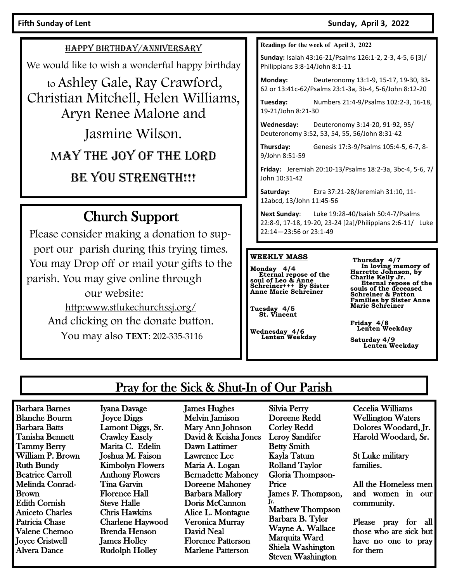#### Fifth Sunday of Lent **Sunday, April 3, 2022**

#### HAPPY BIRTHDAY/ANNIVERSARY

We would like to wish a wonderful happy birthday

to Ashley Gale, Ray Crawford, Christian Mitchell, Helen Williams, Aryn Renee Malone and Jasmine Wilson.

MAY THE JOY OF THE LORD

BE YOU STRENGTH!!!

## Church Support

Please consider making a donation to support our parish during this trying times. You may Drop off or mail your gifts to the parish. You may give online through our website: http:www.stlukechurchssj.org/ And clicking on the donate button. You may also **TEXT**: 202-335-3116

**Readings for the week of April 3, 2022**

**Sunday:** Isaiah 43:16-21/Psalms 126:1-2, 2-3, 4-5, 6 [3]/ Philippians 3:8-14/John 8:1-11

**Monday:** Deuteronomy 13:1-9, 15-17, 19-30, 33- 62 or 13:41c-62/Psalms 23:1-3a, 3b-4, 5-6/John 8:12-20

**Tuesday:** Numbers 21:4-9/Psalms 102:2-3, 16-18, 19-21/John 8:21-30

**Wednesday:** Deuteronomy 3:14-20, 91-92, 95/ Deuteronomy 3:52, 53, 54, 55, 56/John 8:31-42

**Thursday:** Genesis 17:3-9/Psalms 105:4-5, 6-7, 8- 9/John 8:51-59

**Friday:** Jeremiah 20:10-13/Psalms 18:2-3a, 3bc-4, 5-6, 7/ John 10:31-42

**Saturday:** Ezra 37:21-28/Jeremiah 31:10, 11- 12abcd, 13/John 11:45-56

**Next Sunday**: Luke 19:28-40/Isaiah 50:4-7/Psalms 22:8-9, 17-18, 19-20, 23-24 [2a]/Philippians 2:6-11/ Luke 22:14—23:56 or 23:1-49

#### **WEEKLY MASS**

**Monday 4/4 Eternal repose of the soul of Leo & Anne Schreiner+++ By Sister Anne Marie Schreiner**

**Tuesday 4/5 St. Vincent**

**Wednesday 4/6 Lenten Weekday**

**Thursday 4/7 In loving memory of Harrette Johnson, by Charlie Kelly Jr. Eternal repose of the souls of the deceased Schreiner & Patton Families by Sister Anne Marie Schreiner**

**Friday 4/8 Lenten Weekday** 

**Saturday 4/9 Lenten Weekday** 

## Pray for the Sick & Shut-In of Our Parish

Barbara Barnes Blanche Bourm Barbara Batts Tanisha Bennett Tammy Berry William P. Brown Ruth Bundy Beatrice Carroll Melinda Conrad-Brown Edith Cornish Aniceto Charles Patricia Chase Valene Chemoo Joyce Cristwell Alvera Dance

Iyana Davage Joyce Diggs Lamont Diggs, Sr. Crawley Easely Marita C. Edelin Joshua M. Faison Kimbolyn Flowers Anthony Flowers Tina Garvin Florence Hall Steve Halle Chris Hawkins Charlene Haywood Brenda Henson James Holley Rudolph Holley

James Hughes Melvin Jamison Mary Ann Johnson David & Keisha Jones Dawn Lattimer Lawrence Lee Maria A. Logan Bernadette Mahoney Doreene Mahoney Barbara Mallory Doris McCannon Alice L. Montague Veronica Murray David Neal Florence Patterson Marlene Patterson

Silvia Perry Doreene Redd Corley Redd Leroy Sandifer Betty Smith Kayla Tatum Rolland Taylor Gloria Thompson-Price James F. Thompson, Jr. Matthew Thompson Barbara B. Tyler Wayne A. Wallace Marquita Ward Shiela Washington Steven Washington

Cecelia Williams Wellington Waters Dolores Woodard, Jr. Harold Woodard, Sr.

St Luke military families.

All the Homeless men and women in our community.

Please pray for all those who are sick but have no one to pray for them